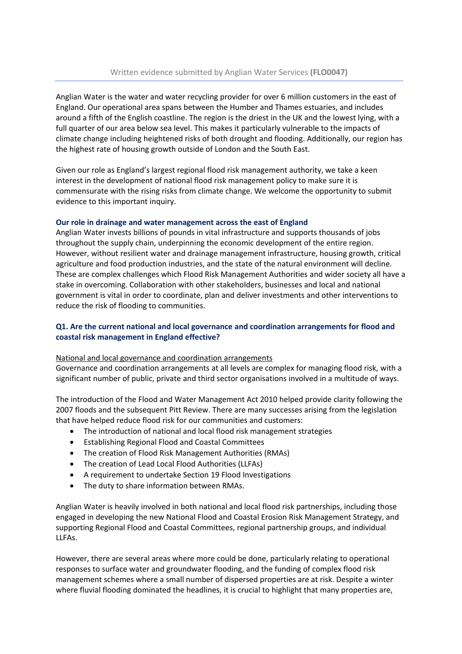Anglian Water is the water and water recycling provider for over 6 million customers in the east of England. Our operational area spans between the Humber and Thames estuaries, and includes around a fifth of the English coastline. The region is the driest in the UK and the lowest lying, with a full quarter of our area below sea level. This makes it particularly vulnerable to the impacts of climate change including heightened risks of both drought and flooding. Additionally, our region has the highest rate of housing growth outside of London and the South East.

Given our role as England's largest regional flood risk management authority, we take a keen interest in the development of national flood risk management policy to make sure it is commensurate with the rising risks from climate change. We welcome the opportunity to submit evidence to this important inquiry.

# **Our role in drainage and water management across the east of England**

Anglian Water invests billions of pounds in vital infrastructure and supports thousands of jobs throughout the supply chain, underpinning the economic development of the entire region. However, without resilient water and drainage management infrastructure, housing growth, critical agriculture and food production industries, and the state of the natural environment will decline. These are complex challenges which Flood Risk Management Authorities and wider society all have a stake in overcoming. Collaboration with other stakeholders, businesses and local and national government is vital in order to coordinate, plan and deliver investments and other interventions to reduce the risk of flooding to communities.

# **Q1. Are the current national and local governance and coordination arrangements for flood and coastal risk management in England effective?**

## National and local governance and coordination arrangements

Governance and coordination arrangements at all levels are complex for managing flood risk, with a significant number of public, private and third sector organisations involved in a multitude of ways.

The introduction of the Flood and Water Management Act 2010 helped provide clarity following the 2007 floods and the subsequent Pitt Review. There are many successes arising from the legislation that have helped reduce flood risk for our communities and customers:

- The introduction of national and local flood risk management strategies
- Establishing Regional Flood and Coastal Committees
- The creation of Flood Risk Management Authorities (RMAs)
- The creation of Lead Local Flood Authorities (LLFAs)
- A requirement to undertake Section 19 Flood Investigations
- The duty to share information between RMAs.

Anglian Water is heavily involved in both national and local flood risk partnerships, including those engaged in developing the new National Flood and Coastal Erosion Risk Management Strategy, and supporting Regional Flood and Coastal Committees, regional partnership groups, and individual LLFAs.

However, there are several areas where more could be done, particularly relating to operational responses to surface water and groundwater flooding, and the funding of complex flood risk management schemes where a small number of dispersed properties are at risk. Despite a winter where fluvial flooding dominated the headlines, it is crucial to highlight that many properties are,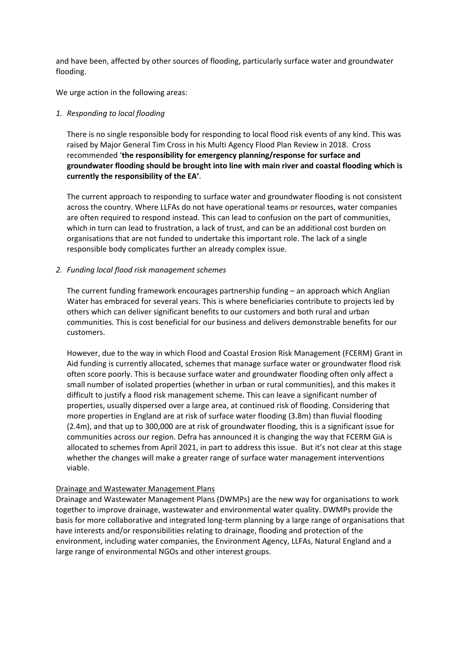and have been, affected by other sources of flooding, particularly surface water and groundwater flooding.

We urge action in the following areas:

## *1. Responding to local flooding*

There is no single responsible body for responding to local flood risk events of any kind. This was raised by Major General Tim Cross in his Multi Agency Flood Plan Review in 2018. Cross recommended '**the responsibility for emergency planning/response for surface and groundwater flooding should be brought into line with main river and coastal flooding which is currently the responsibility of the EA'**.

The current approach to responding to surface water and groundwater flooding is not consistent across the country. Where LLFAs do not have operational teams or resources, water companies are often required to respond instead. This can lead to confusion on the part of communities, which in turn can lead to frustration, a lack of trust, and can be an additional cost burden on organisations that are not funded to undertake this important role. The lack of a single responsible body complicates further an already complex issue.

### *2. Funding local flood risk management schemes*

The current funding framework encourages partnership funding – an approach which Anglian Water has embraced for several years. This is where beneficiaries contribute to projects led by others which can deliver significant benefits to our customers and both rural and urban communities. This is cost beneficial for our business and delivers demonstrable benefits for our customers.

However, due to the way in which Flood and Coastal Erosion Risk Management (FCERM) Grant in Aid funding is currently allocated, schemes that manage surface water or groundwater flood risk often score poorly. This is because surface water and groundwater flooding often only affect a small number of isolated properties (whether in urban or rural communities), and this makes it difficult to justify a flood risk management scheme. This can leave a significant number of properties, usually dispersed over a large area, at continued risk of flooding. Considering that more properties in England are at risk of surface water flooding (3.8m) than fluvial flooding (2.4m), and that up to 300,000 are at risk of groundwater flooding, this is a significant issue for communities across our region. Defra has announced it is changing the way that FCERM GiA is allocated to schemes from April 2021, in part to address this issue. But it's not clear at this stage whether the changes will make a greater range of surface water management interventions viable.

#### Drainage and Wastewater Management Plans

Drainage and Wastewater Management Plans (DWMPs) are the new way for organisations to work together to improve drainage, wastewater and environmental water quality. DWMPs provide the basis for more collaborative and integrated long-term planning by a large range of organisations that have interests and/or responsibilities relating to drainage, flooding and protection of the environment, including water companies, the Environment Agency, LLFAs, Natural England and a large range of environmental NGOs and other interest groups.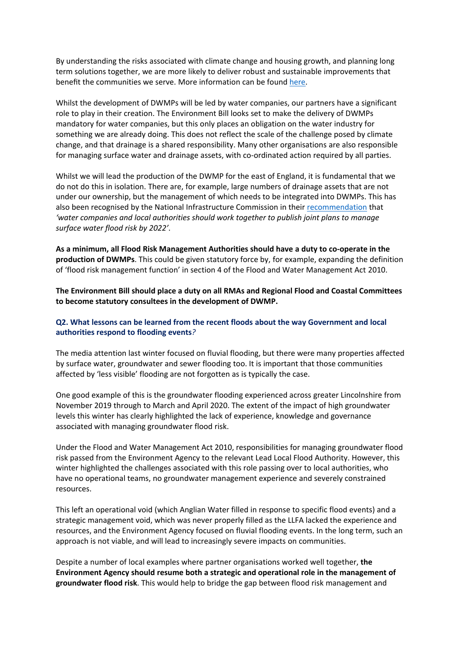By understanding the risks associated with climate change and housing growth, and planning long term solutions together, we are more likely to deliver robust and sustainable improvements that benefit the communities we serve. More information can be found [here.](https://www.anglianwater.co.uk/about-us/our-strategies-and-plans/drainage-and-wastewater-management-plan/)

Whilst the development of DWMPs will be led by water companies, our partners have a significant role to play in their creation. The Environment Bill looks set to make the delivery of DWMPs mandatory for water companies, but this only places an obligation on the water industry for something we are already doing. This does not reflect the scale of the challenge posed by climate change, and that drainage is a shared responsibility. Many other organisations are also responsible for managing surface water and drainage assets, with co-ordinated action required by all parties.

Whilst we will lead the production of the DWMP for the east of England, it is fundamental that we do not do this in isolation. There are, for example, large numbers of drainage assets that are not under our ownership, but the management of which needs to be integrated into DWMPs. This has also been recognised by the National Infrastructure Commission in their [recommendation](https://www.nic.org.uk/assessment/national-infrastructure-assessment/reducing-the-risks-of-drought-and-flooding/) that *'water companies and local authorities should work together to publish joint plans to manage surface water flood risk by 2022'*.

**As a minimum, all Flood Risk Management Authorities should have a duty to co-operate in the production of DWMPs**. This could be given statutory force by, for example, expanding the definition of 'flood risk management function' in section 4 of the Flood and Water Management Act 2010.

**The Environment Bill should place a duty on all RMAs and Regional Flood and Coastal Committees to become statutory consultees in the development of DWMP.**

## **Q2. What lessons can be learned from the recent floods about the way Government and local authorities respond to flooding events***?*

The media attention last winter focused on fluvial flooding, but there were many properties affected by surface water, groundwater and sewer flooding too. It is important that those communities affected by 'less visible' flooding are not forgotten as is typically the case.

One good example of this is the groundwater flooding experienced across greater Lincolnshire from November 2019 through to March and April 2020. The extent of the impact of high groundwater levels this winter has clearly highlighted the lack of experience, knowledge and governance associated with managing groundwater flood risk.

Under the Flood and Water Management Act 2010, responsibilities for managing groundwater flood risk passed from the Environment Agency to the relevant Lead Local Flood Authority. However, this winter highlighted the challenges associated with this role passing over to local authorities, who have no operational teams, no groundwater management experience and severely constrained resources.

This left an operational void (which Anglian Water filled in response to specific flood events) and a strategic management void, which was never properly filled as the LLFA lacked the experience and resources, and the Environment Agency focused on fluvial flooding events. In the long term, such an approach is not viable, and will lead to increasingly severe impacts on communities.

Despite a number of local examples where partner organisations worked well together, **the Environment Agency should resume both a strategic and operational role in the management of groundwater flood risk**. This would help to bridge the gap between flood risk management and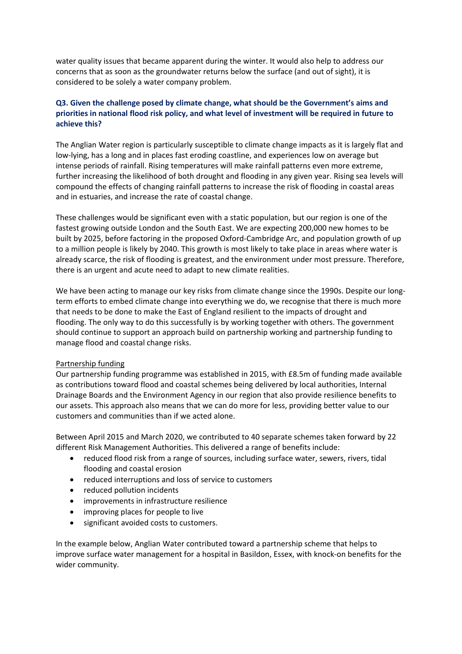water quality issues that became apparent during the winter. It would also help to address our concerns that as soon as the groundwater returns below the surface (and out of sight), it is considered to be solely a water company problem.

# **Q3. Given the challenge posed by climate change, what should be the Government's aims and priorities in national flood risk policy, and what level of investment will be required in future to achieve this?**

The Anglian Water region is particularly susceptible to climate change impacts as it is largely flat and low-lying, has a long and in places fast eroding coastline, and experiences low on average but intense periods of rainfall. Rising temperatures will make rainfall patterns even more extreme, further increasing the likelihood of both drought and flooding in any given year. Rising sea levels will compound the effects of changing rainfall patterns to increase the risk of flooding in coastal areas and in estuaries, and increase the rate of coastal change.

These challenges would be significant even with a static population, but our region is one of the fastest growing outside London and the South East. We are expecting 200,000 new homes to be built by 2025, before factoring in the proposed Oxford-Cambridge Arc, and population growth of up to a million people is likely by 2040. This growth is most likely to take place in areas where water is already scarce, the risk of flooding is greatest, and the environment under most pressure. Therefore, there is an urgent and acute need to adapt to new climate realities.

We have been acting to manage our key risks from climate change since the 1990s. Despite our longterm efforts to embed climate change into everything we do, we recognise that there is much more that needs to be done to make the East of England resilient to the impacts of drought and flooding. The only way to do this successfully is by working together with others. The government should continue to support an approach build on partnership working and partnership funding to manage flood and coastal change risks.

## Partnership funding

Our partnership funding programme was established in 2015, with £8.5m of funding made available as contributions toward flood and coastal schemes being delivered by local authorities, Internal Drainage Boards and the Environment Agency in our region that also provide resilience benefits to our assets. This approach also means that we can do more for less, providing better value to our customers and communities than if we acted alone.

Between April 2015 and March 2020, we contributed to 40 separate schemes taken forward by 22 different Risk Management Authorities. This delivered a range of benefits include:

- reduced flood risk from a range of sources, including surface water, sewers, rivers, tidal flooding and coastal erosion
- reduced interruptions and loss of service to customers
- reduced pollution incidents
- improvements in infrastructure resilience
- improving places for people to live
- significant avoided costs to customers.

In the example below, Anglian Water contributed toward a partnership scheme that helps to improve surface water management for a hospital in Basildon, Essex, with knock-on benefits for the wider community.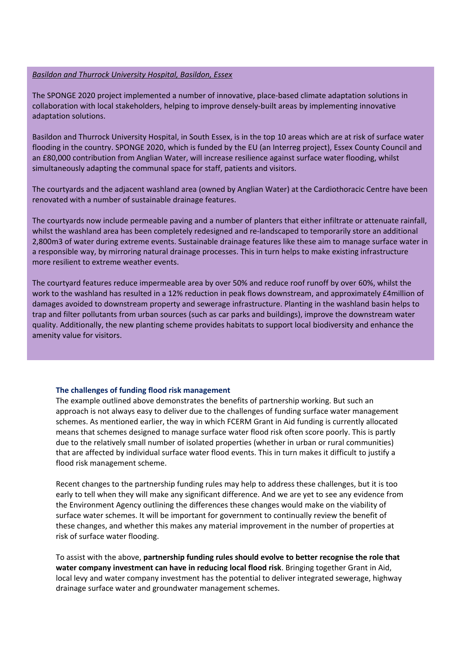#### *Basildon and Thurrock University Hospital, Basildon, Essex*

The SPONGE 2020 project implemented a number of innovative, place-based climate adaptation solutions in collaboration with local stakeholders, helping to improve densely-built areas by implementing innovative adaptation solutions.

Basildon and Thurrock University Hospital, in South Essex, is in the top 10 areas which are at risk of surface water flooding in the country. SPONGE 2020, which is funded by the EU (an Interreg project), Essex County Council and an £80,000 contribution from Anglian Water, will increase resilience against surface water flooding, whilst simultaneously adapting the communal space for staff, patients and visitors.

The courtyards and the adjacent washland area (owned by Anglian Water) at the Cardiothoracic Centre have been renovated with a number of sustainable drainage features.

The courtyards now include permeable paving and a number of planters that either infiltrate or attenuate rainfall, whilst the washland area has been completely redesigned and re-landscaped to temporarily store an additional 2,800m3 of water during extreme events. Sustainable drainage features like these aim to manage surface water in a responsible way, by mirroring natural drainage processes. This in turn helps to make existing infrastructure more resilient to extreme weather events.

The courtyard features reduce impermeable area by over 50% and reduce roof runoff by over 60%, whilst the work to the washland has resulted in a 12% reduction in peak flows downstream, and approximately £4million of damages avoided to downstream property and sewerage infrastructure. Planting in the washland basin helps to trap and filter pollutants from urban sources (such as car parks and buildings), improve the downstream water quality. Additionally, the new planting scheme provides habitats to support local biodiversity and enhance the amenity value for visitors.

## **The challenges of funding flood risk management**

The example outlined above demonstrates the benefits of partnership working. But such an approach is not always easy to deliver due to the challenges of funding surface water management schemes. As mentioned earlier, the way in which FCERM Grant in Aid funding is currently allocated means that schemes designed to manage surface water flood risk often score poorly. This is partly due to the relatively small number of isolated properties (whether in urban or rural communities) that are affected by individual surface water flood events. This in turn makes it difficult to justify a flood risk management scheme.

Recent changes to the partnership funding rules may help to address these challenges, but it is too early to tell when they will make any significant difference. And we are yet to see any evidence from the Environment Agency outlining the differences these changes would make on the viability of surface water schemes. It will be important for government to continually review the benefit of these changes, and whether this makes any material improvement in the number of properties at risk of surface water flooding.

To assist with the above, **partnership funding rules should evolve to better recognise the role that water company investment can have in reducing local flood risk**. Bringing together Grant in Aid, local levy and water company investment has the potential to deliver integrated sewerage, highway drainage surface water and groundwater management schemes.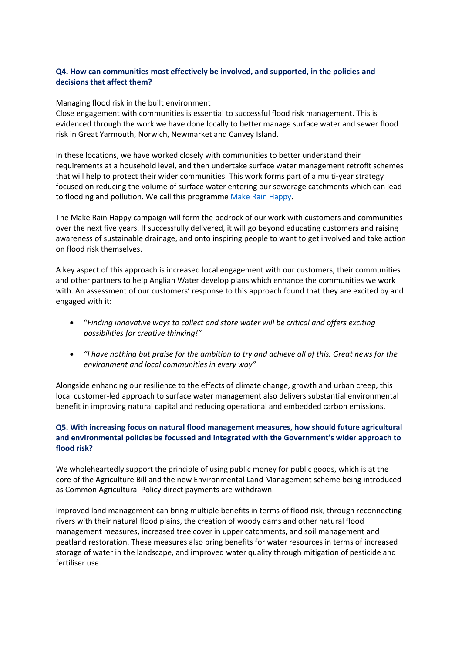## **Q4. How can communities most effectively be involved, and supported, in the policies and decisions that affect them?**

## Managing flood risk in the built environment

Close engagement with communities is essential to successful flood risk management. This is evidenced through the work we have done locally to better manage surface water and sewer flood risk in Great Yarmouth, Norwich, Newmarket and Canvey Island.

In these locations, we have worked closely with communities to better understand their requirements at a household level, and then undertake surface water management retrofit schemes that will help to protect their wider communities. This work forms part of a multi-year strategy focused on reducing the volume of surface water entering our sewerage catchments which can lead to flooding and pollution. We call this programme [Make](https://www.anglianwater.co.uk/in-the-community/protecting-our-environment/surface-water-management/) [Rain](https://www.anglianwater.co.uk/in-the-community/protecting-our-environment/surface-water-management/) [Happy.](https://www.anglianwater.co.uk/in-the-community/protecting-our-environment/surface-water-management/)

The Make Rain Happy campaign will form the bedrock of our work with customers and communities over the next five years. If successfully delivered, it will go beyond educating customers and raising awareness of sustainable drainage, and onto inspiring people to want to get involved and take action on flood risk themselves.

A key aspect of this approach is increased local engagement with our customers, their communities and other partners to help Anglian Water develop plans which enhance the communities we work with. An assessment of our customers' response to this approach found that they are excited by and engaged with it:

- "*Finding innovative ways to collect and store water will be critical and offers exciting possibilities for creative thinking!"*
- "I have nothing but praise for the ambition to try and achieve all of this. Great news for the *environment and local communities in every way"*

Alongside enhancing our resilience to the effects of climate change, growth and urban creep, this local customer-led approach to surface water management also delivers substantial environmental benefit in improving natural capital and reducing operational and embedded carbon emissions.

## **Q5. With increasing focus on natural flood management measures, how should future agricultural and environmental policies be focussed and integrated with the Government's wider approach to flood risk?**

We wholeheartedly support the principle of using public money for public goods, which is at the core of the Agriculture Bill and the new Environmental Land Management scheme being introduced as Common Agricultural Policy direct payments are withdrawn.

Improved land management can bring multiple benefits in terms of flood risk, through reconnecting rivers with their natural flood plains, the creation of woody dams and other natural flood management measures, increased tree cover in upper catchments, and soil management and peatland restoration. These measures also bring benefits for water resources in terms of increased storage of water in the landscape, and improved water quality through mitigation of pesticide and fertiliser use.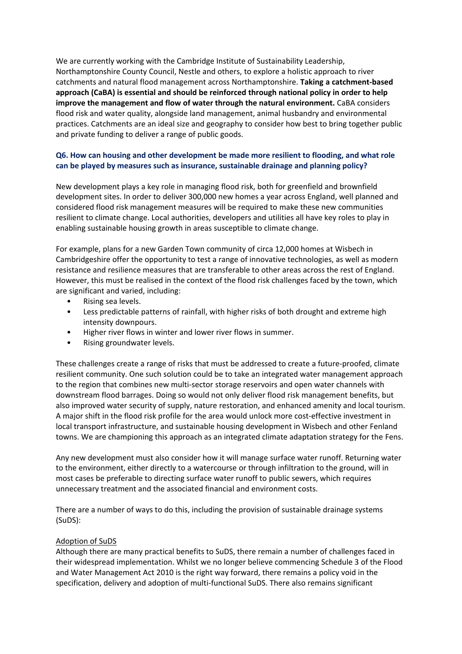We are currently working with the Cambridge Institute of Sustainability Leadership, Northamptonshire County Council, Nestle and others, to explore a holistic approach to river catchments and natural flood management across Northamptonshire. **Taking a catchment-based approach (CaBA) is essential and should be reinforced through national policy in order to help improve the management and flow of water through the natural environment.** CaBA considers flood risk and water quality, alongside land management, animal husbandry and environmental practices. Catchments are an ideal size and geography to consider how best to bring together public and private funding to deliver a range of public goods.

# **Q6. How can housing and other development be made more resilient to flooding, and what role can be played by measures such as insurance, sustainable drainage and planning policy?**

New development plays a key role in managing flood risk, both for greenfield and brownfield development sites. In order to deliver 300,000 new homes a year across England, well planned and considered flood risk management measures will be required to make these new communities resilient to climate change. Local authorities, developers and utilities all have key roles to play in enabling sustainable housing growth in areas susceptible to climate change.

For example, plans for a new Garden Town community of circa 12,000 homes at Wisbech in Cambridgeshire offer the opportunity to test a range of innovative technologies, as well as modern resistance and resilience measures that are transferable to other areas across the rest of England. However, this must be realised in the context of the flood risk challenges faced by the town, which are significant and varied, including:

- Rising sea levels.
- Less predictable patterns of rainfall, with higher risks of both drought and extreme high intensity downpours.
- Higher river flows in winter and lower river flows in summer.
- Rising groundwater levels.

These challenges create a range of risks that must be addressed to create a future-proofed, climate resilient community. One such solution could be to take an integrated water management approach to the region that combines new multi-sector storage reservoirs and open water channels with downstream flood barrages. Doing so would not only deliver flood risk management benefits, but also improved water security of supply, nature restoration, and enhanced amenity and local tourism. A major shift in the flood risk profile for the area would unlock more cost-effective investment in local transport infrastructure, and sustainable housing development in Wisbech and other Fenland towns. We are championing this approach as an integrated climate adaptation strategy for the Fens.

Any new development must also consider how it will manage surface water runoff. Returning water to the environment, either directly to a watercourse or through infiltration to the ground, will in most cases be preferable to directing surface water runoff to public sewers, which requires unnecessary treatment and the associated financial and environment costs.

There are a number of ways to do this, including the provision of sustainable drainage systems (SuDS):

## Adoption of SuDS

Although there are many practical benefits to SuDS, there remain a number of challenges faced in their widespread implementation. Whilst we no longer believe commencing Schedule 3 of the Flood and Water Management Act 2010 is the right way forward, there remains a policy void in the specification, delivery and adoption of multi-functional SuDS. There also remains significant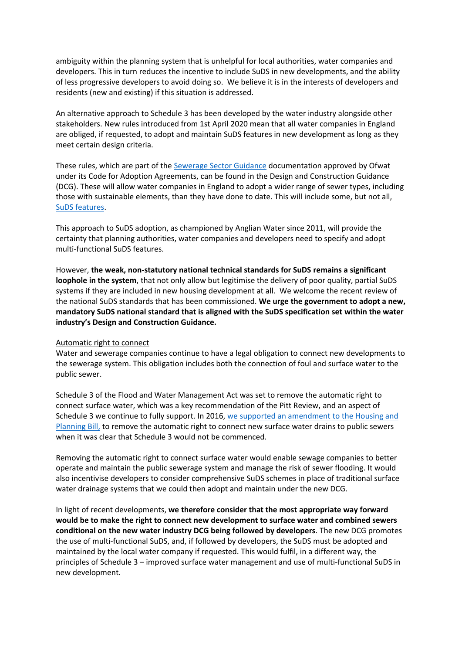ambiguity within the planning system that is unhelpful for local authorities, water companies and developers. This in turn reduces the incentive to include SuDS in new developments, and the ability of less progressive developers to avoid doing so. We believe it is in the interests of developers and residents (new and existing) if this situation is addressed.

An alternative approach to Schedule 3 has been developed by the water industry alongside other stakeholders. New rules introduced from 1st April 2020 mean that all water companies in England are obliged, if requested, to adopt and maintain SuDS features in new development as long as they meet certain design criteria.

These rules, which are part of the [Sewerage](https://www.water.org.uk/sewerage-sector-guidance-approved-documents/) [Sector](https://www.water.org.uk/sewerage-sector-guidance-approved-documents/) [Guidance](https://www.water.org.uk/sewerage-sector-guidance-approved-documents/) documentation approved by Ofwat under its Code for Adoption Agreements, can be found in the Design and Construction Guidance (DCG). These will allow water companies in England to adopt a wider range of sewer types, including those with sustainable elements, than they have done to date. This will include some, but not all, [SuDS](https://www.water.org.uk/wp-content/uploads/2020/01/Water-UK-SuDS-brochure.pdf) [features](https://www.water.org.uk/wp-content/uploads/2020/01/Water-UK-SuDS-brochure.pdf).

This approach to SuDS adoption, as championed by Anglian Water since 2011, will provide the certainty that planning authorities, water companies and developers need to specify and adopt multi-functional SuDS features.

However, **the weak, non-statutory national technical standards for SuDS remains a significant loophole in the system**, that not only allow but legitimise the delivery of poor quality, partial SuDS systems if they are included in new housing development at all. We welcome the recent review of the national SuDS standards that has been commissioned. **We urge the government to adopt a new, mandatory SuDS national standard that is aligned with the SuDS specification set within the water industry's Design and Construction Guidance.**

#### Automatic right to connect

Water and sewerage companies continue to have a legal obligation to connect new developments to the sewerage system. This obligation includes both the connection of foul and surface water to the public sewer.

Schedule 3 of the Flood and Water Management Act was set to remove the automatic right to connect surface water, which was a key recommendation of the Pitt Review, and an aspect of Schedule 3 we continue to fully support. In 2016, [we](https://hansard.parliament.uk/Commons/2016-05-03/debates/16050323000001/HousingAndPlanningBill?highlight=anglian%20water#contribution-988B17A3-290B-41FB-BC63-C8F9F5661EF4) [supported](https://hansard.parliament.uk/Commons/2016-05-03/debates/16050323000001/HousingAndPlanningBill?highlight=anglian%20water#contribution-988B17A3-290B-41FB-BC63-C8F9F5661EF4) [an](https://hansard.parliament.uk/Commons/2016-05-03/debates/16050323000001/HousingAndPlanningBill?highlight=anglian%20water#contribution-988B17A3-290B-41FB-BC63-C8F9F5661EF4) [amendment](https://hansard.parliament.uk/Commons/2016-05-03/debates/16050323000001/HousingAndPlanningBill?highlight=anglian%20water#contribution-988B17A3-290B-41FB-BC63-C8F9F5661EF4) [to](https://hansard.parliament.uk/Commons/2016-05-03/debates/16050323000001/HousingAndPlanningBill?highlight=anglian%20water#contribution-988B17A3-290B-41FB-BC63-C8F9F5661EF4) [the](https://hansard.parliament.uk/Commons/2016-05-03/debates/16050323000001/HousingAndPlanningBill?highlight=anglian%20water#contribution-988B17A3-290B-41FB-BC63-C8F9F5661EF4) [Housing](https://hansard.parliament.uk/Commons/2016-05-03/debates/16050323000001/HousingAndPlanningBill?highlight=anglian%20water#contribution-988B17A3-290B-41FB-BC63-C8F9F5661EF4) [and](https://hansard.parliament.uk/Commons/2016-05-03/debates/16050323000001/HousingAndPlanningBill?highlight=anglian%20water#contribution-988B17A3-290B-41FB-BC63-C8F9F5661EF4) [Planning](https://hansard.parliament.uk/Commons/2016-05-03/debates/16050323000001/HousingAndPlanningBill?highlight=anglian%20water#contribution-988B17A3-290B-41FB-BC63-C8F9F5661EF4) [Bill,](https://hansard.parliament.uk/Commons/2016-05-03/debates/16050323000001/HousingAndPlanningBill?highlight=anglian%20water#contribution-988B17A3-290B-41FB-BC63-C8F9F5661EF4) to remove the automatic right to connect new surface water drains to public sewers when it was clear that Schedule 3 would not be commenced.

Removing the automatic right to connect surface water would enable sewage companies to better operate and maintain the public sewerage system and manage the risk of sewer flooding. It would also incentivise developers to consider comprehensive SuDS schemes in place of traditional surface water drainage systems that we could then adopt and maintain under the new DCG.

In light of recent developments, **we therefore consider that the most appropriate way forward would be to make the right to connect new development to surface water and combined sewers conditional on the new water industry DCG being followed by developers**. The new DCG promotes the use of multi-functional SuDS, and, if followed by developers, the SuDS must be adopted and maintained by the local water company if requested. This would fulfil, in a different way, the principles of Schedule 3 – improved surface water management and use of multi-functional SuDS in new development.